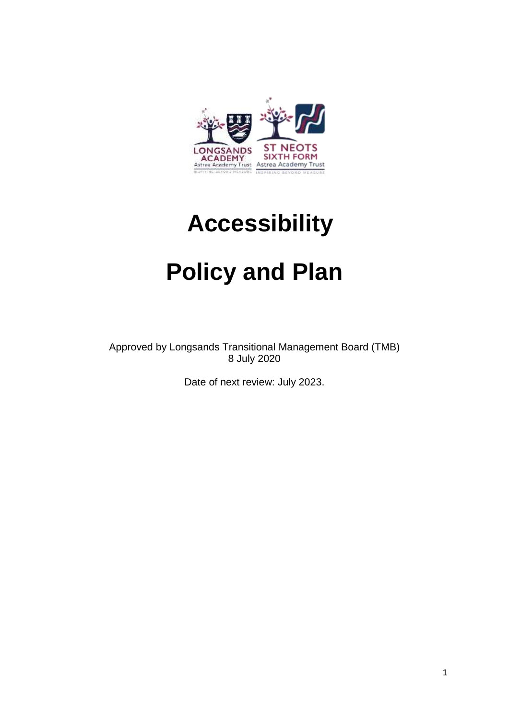

# **Accessibility**

# **Policy and Plan**

Approved by Longsands Transitional Management Board (TMB) 8 July 2020

Date of next review: July 2023.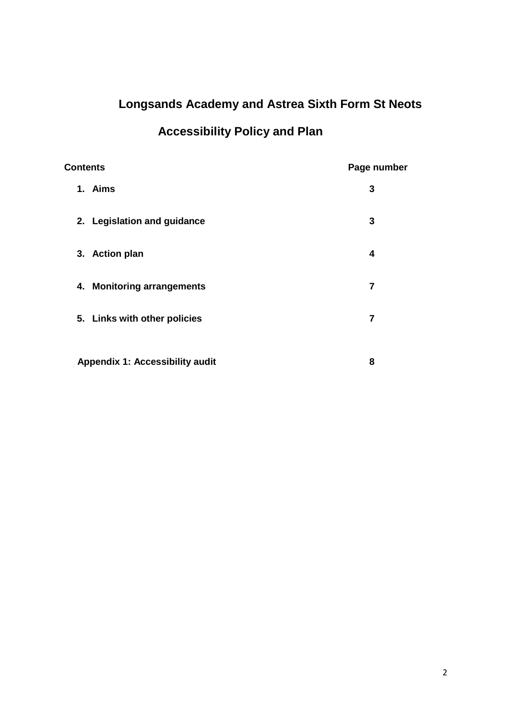# **Longsands Academy and Astrea Sixth Form St Neots**

## **Accessibility Policy and Plan**

| <b>Contents</b>                 | Page number |
|---------------------------------|-------------|
| 1. Aims                         | 3           |
| 2. Legislation and guidance     | 3           |
| 3. Action plan                  | 4           |
| 4. Monitoring arrangements      | 7           |
| 5. Links with other policies    | 7           |
| Appendix 1: Accessibility audit | 8           |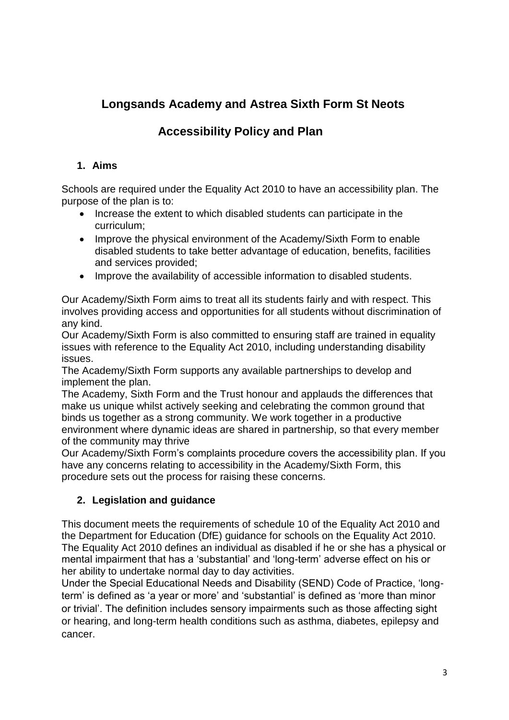## **Longsands Academy and Astrea Sixth Form St Neots**

### **Accessibility Policy and Plan**

#### **1. Aims**

Schools are required under the Equality Act 2010 to have an accessibility plan. The purpose of the plan is to:

- Increase the extent to which disabled students can participate in the curriculum;
- Improve the physical environment of the Academy/Sixth Form to enable disabled students to take better advantage of education, benefits, facilities and services provided;
- Improve the availability of accessible information to disabled students.

Our Academy/Sixth Form aims to treat all its students fairly and with respect. This involves providing access and opportunities for all students without discrimination of any kind.

Our Academy/Sixth Form is also committed to ensuring staff are trained in equality issues with reference to the Equality Act 2010, including understanding disability issues.

The Academy/Sixth Form supports any available partnerships to develop and implement the plan.

The Academy, Sixth Form and the Trust honour and applauds the differences that make us unique whilst actively seeking and celebrating the common ground that binds us together as a strong community. We work together in a productive environment where dynamic ideas are shared in partnership, so that every member of the community may thrive

Our Academy/Sixth Form's complaints procedure covers the accessibility plan. If you have any concerns relating to accessibility in the Academy/Sixth Form, this procedure sets out the process for raising these concerns.

#### **2. Legislation and guidance**

This document meets the requirements of schedule 10 of the Equality Act 2010 and the Department for Education (DfE) guidance for schools on the Equality Act 2010. The Equality Act 2010 defines an individual as disabled if he or she has a physical or mental impairment that has a 'substantial' and 'long-term' adverse effect on his or her ability to undertake normal day to day activities.

Under the Special Educational Needs and Disability (SEND) Code of Practice, 'longterm' is defined as 'a year or more' and 'substantial' is defined as 'more than minor or trivial'. The definition includes sensory impairments such as those affecting sight or hearing, and long-term health conditions such as asthma, diabetes, epilepsy and cancer.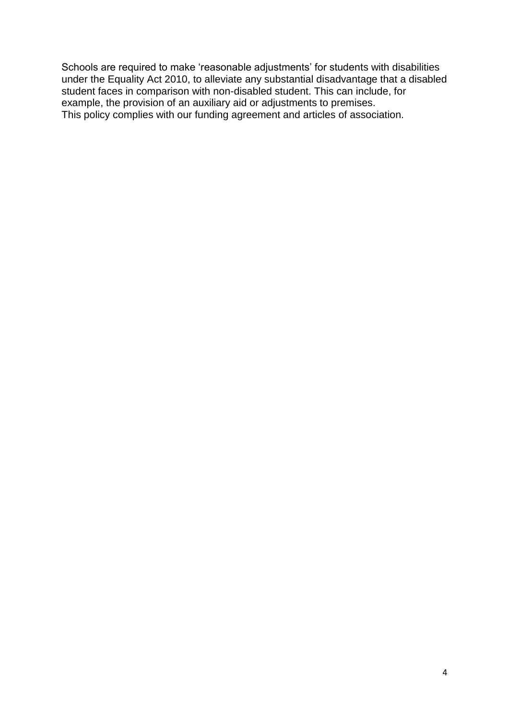Schools are required to make 'reasonable adjustments' for students with disabilities under the Equality Act 2010, to alleviate any substantial disadvantage that a disabled student faces in comparison with non-disabled student. This can include, for example, the provision of an auxiliary aid or adjustments to premises. This policy complies with our funding agreement and articles of association.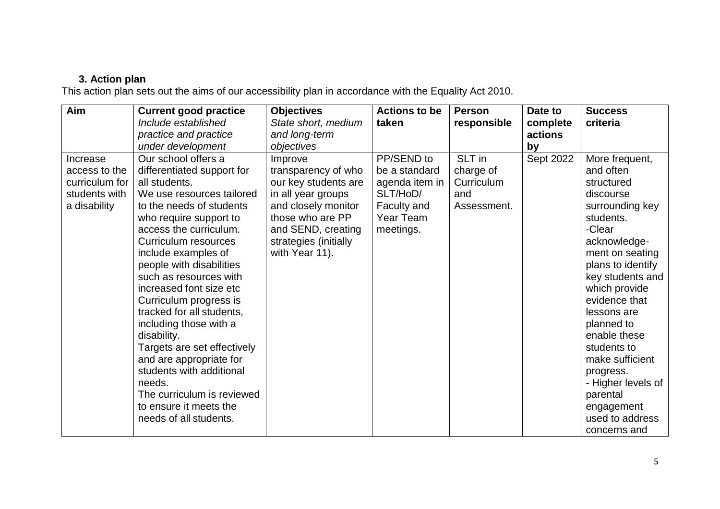#### **3. Action plan**

This action plan sets out the aims of our accessibility plan in accordance with the Equality Act 2010.

| Aim                                                                          | <b>Current good practice</b><br>Include established                                                                                                                                                                                                                                                                                                                                                                                                                                                                                                                                                                   | <b>Objectives</b><br>State short, medium                                                                                                                                                                                | <b>Actions to be</b><br>taken                                                                      | <b>Person</b><br>responsible                            | Date to<br>complete        | <b>Success</b><br>criteria                                                                                                                                                                                                                                                                                                                                 |
|------------------------------------------------------------------------------|-----------------------------------------------------------------------------------------------------------------------------------------------------------------------------------------------------------------------------------------------------------------------------------------------------------------------------------------------------------------------------------------------------------------------------------------------------------------------------------------------------------------------------------------------------------------------------------------------------------------------|-------------------------------------------------------------------------------------------------------------------------------------------------------------------------------------------------------------------------|----------------------------------------------------------------------------------------------------|---------------------------------------------------------|----------------------------|------------------------------------------------------------------------------------------------------------------------------------------------------------------------------------------------------------------------------------------------------------------------------------------------------------------------------------------------------------|
|                                                                              |                                                                                                                                                                                                                                                                                                                                                                                                                                                                                                                                                                                                                       |                                                                                                                                                                                                                         |                                                                                                    |                                                         |                            |                                                                                                                                                                                                                                                                                                                                                            |
|                                                                              |                                                                                                                                                                                                                                                                                                                                                                                                                                                                                                                                                                                                                       |                                                                                                                                                                                                                         |                                                                                                    |                                                         |                            |                                                                                                                                                                                                                                                                                                                                                            |
| Increase<br>access to the<br>curriculum for<br>students with<br>a disability | practice and practice<br>under development<br>Our school offers a<br>differentiated support for<br>all students.<br>We use resources tailored<br>to the needs of students<br>who require support to<br>access the curriculum.<br>Curriculum resources<br>include examples of<br>people with disabilities<br>such as resources with<br>increased font size etc<br>Curriculum progress is<br>tracked for all students,<br>including those with a<br>disability.<br>Targets are set effectively<br>and are appropriate for<br>students with additional<br>needs.<br>The curriculum is reviewed<br>to ensure it meets the | and long-term<br>objectives<br>Improve<br>transparency of who<br>our key students are<br>in all year groups<br>and closely monitor<br>those who are PP<br>and SEND, creating<br>strategies (initially<br>with Year 11). | PP/SEND to<br>be a standard<br>agenda item in<br>SLT/HoD/<br>Faculty and<br>Year Team<br>meetings. | SLT in<br>charge of<br>Curriculum<br>and<br>Assessment. | actions<br>by<br>Sept 2022 | More frequent,<br>and often<br>structured<br>discourse<br>surrounding key<br>students.<br>-Clear<br>acknowledge-<br>ment on seating<br>plans to identify<br>key students and<br>which provide<br>evidence that<br>lessons are<br>planned to<br>enable these<br>students to<br>make sufficient<br>progress.<br>- Higher levels of<br>parental<br>engagement |
|                                                                              | needs of all students.                                                                                                                                                                                                                                                                                                                                                                                                                                                                                                                                                                                                |                                                                                                                                                                                                                         |                                                                                                    |                                                         |                            | used to address<br>concerns and                                                                                                                                                                                                                                                                                                                            |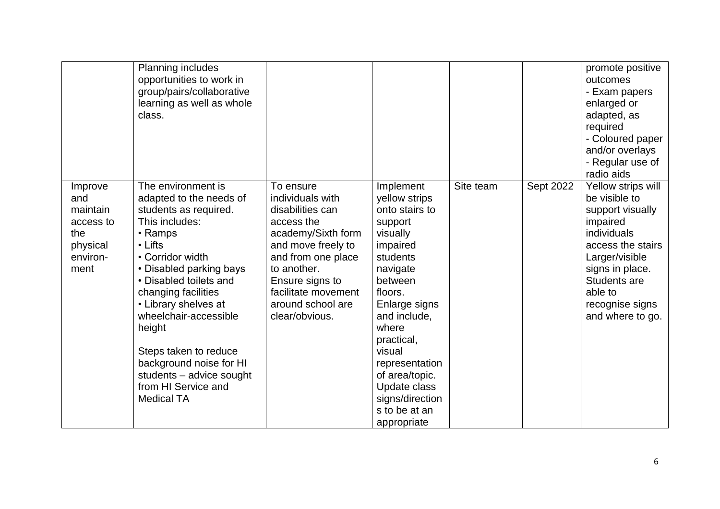|                                                                                | Planning includes<br>opportunities to work in<br>group/pairs/collaborative<br>learning as well as whole<br>class.                                                                                                                                                                                                                                                                                     |                                                                                                                                                                                                                                   |                                                                                                                                                                                                                                                                                                        |           |           | promote positive<br>outcomes<br>- Exam papers<br>enlarged or<br>adapted, as<br>required<br>- Coloured paper<br>and/or overlays<br>- Regular use of<br>radio aids                                                      |
|--------------------------------------------------------------------------------|-------------------------------------------------------------------------------------------------------------------------------------------------------------------------------------------------------------------------------------------------------------------------------------------------------------------------------------------------------------------------------------------------------|-----------------------------------------------------------------------------------------------------------------------------------------------------------------------------------------------------------------------------------|--------------------------------------------------------------------------------------------------------------------------------------------------------------------------------------------------------------------------------------------------------------------------------------------------------|-----------|-----------|-----------------------------------------------------------------------------------------------------------------------------------------------------------------------------------------------------------------------|
| Improve<br>and<br>maintain<br>access to<br>the<br>physical<br>environ-<br>ment | The environment is<br>adapted to the needs of<br>students as required.<br>This includes:<br>• Ramps<br>• Lifts<br>• Corridor width<br>• Disabled parking bays<br>• Disabled toilets and<br>changing facilities<br>• Library shelves at<br>wheelchair-accessible<br>height<br>Steps taken to reduce<br>background noise for HI<br>students - advice sought<br>from HI Service and<br><b>Medical TA</b> | To ensure<br>individuals with<br>disabilities can<br>access the<br>academy/Sixth form<br>and move freely to<br>and from one place<br>to another.<br>Ensure signs to<br>facilitate movement<br>around school are<br>clear/obvious. | Implement<br>yellow strips<br>onto stairs to<br>support<br>visually<br>impaired<br>students<br>navigate<br>between<br>floors.<br>Enlarge signs<br>and include,<br>where<br>practical,<br>visual<br>representation<br>of area/topic.<br>Update class<br>signs/direction<br>s to be at an<br>appropriate | Site team | Sept 2022 | Yellow strips will<br>be visible to<br>support visually<br>impaired<br>individuals<br>access the stairs<br>Larger/visible<br>signs in place.<br><b>Students are</b><br>able to<br>recognise signs<br>and where to go. |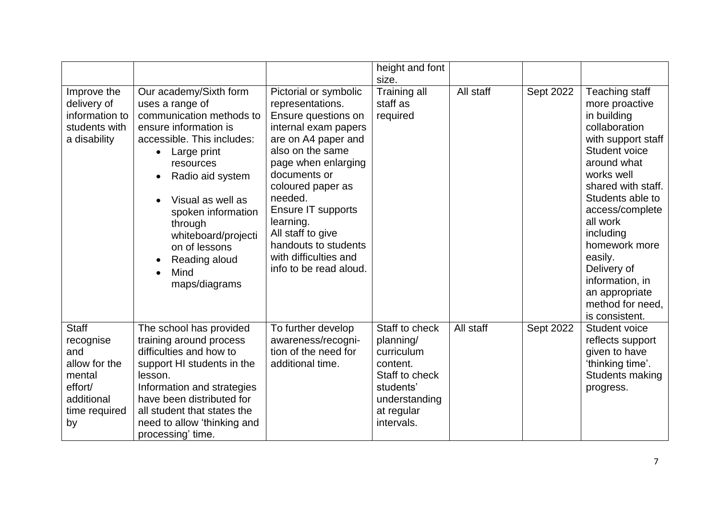|                                                                                                             |                                                                                                                                                                                                                                                                                                                      |                                                                                                                                                                                                                                                                                                                                               | height and font<br>size.                                                                                                          |           |           |                                                                                                                                                                                                                                                                                                                                                  |
|-------------------------------------------------------------------------------------------------------------|----------------------------------------------------------------------------------------------------------------------------------------------------------------------------------------------------------------------------------------------------------------------------------------------------------------------|-----------------------------------------------------------------------------------------------------------------------------------------------------------------------------------------------------------------------------------------------------------------------------------------------------------------------------------------------|-----------------------------------------------------------------------------------------------------------------------------------|-----------|-----------|--------------------------------------------------------------------------------------------------------------------------------------------------------------------------------------------------------------------------------------------------------------------------------------------------------------------------------------------------|
| Improve the<br>delivery of<br>information to<br>students with<br>a disability                               | Our academy/Sixth form<br>uses a range of<br>communication methods to<br>ensure information is<br>accessible. This includes:<br>Large print<br>resources<br>Radio aid system<br>Visual as well as<br>spoken information<br>through<br>whiteboard/projecti<br>on of lessons<br>Reading aloud<br>Mind<br>maps/diagrams | Pictorial or symbolic<br>representations.<br>Ensure questions on<br>internal exam papers<br>are on A4 paper and<br>also on the same<br>page when enlarging<br>documents or<br>coloured paper as<br>needed.<br>Ensure IT supports<br>learning.<br>All staff to give<br>handouts to students<br>with difficulties and<br>info to be read aloud. | Training all<br>staff as<br>required                                                                                              | All staff | Sept 2022 | Teaching staff<br>more proactive<br>in building<br>collaboration<br>with support staff<br>Student voice<br>around what<br>works well<br>shared with staff.<br>Students able to<br>access/complete<br>all work<br>including<br>homework more<br>easily.<br>Delivery of<br>information, in<br>an appropriate<br>method for need,<br>is consistent. |
| <b>Staff</b><br>recognise<br>and<br>allow for the<br>mental<br>effort/<br>additional<br>time required<br>by | The school has provided<br>training around process<br>difficulties and how to<br>support HI students in the<br>lesson.<br>Information and strategies<br>have been distributed for<br>all student that states the<br>need to allow 'thinking and<br>processing' time.                                                 | To further develop<br>awareness/recogni-<br>tion of the need for<br>additional time.                                                                                                                                                                                                                                                          | Staff to check<br>planning/<br>curriculum<br>content.<br>Staff to check<br>students'<br>understanding<br>at regular<br>intervals. | All staff | Sept 2022 | Student voice<br>reflects support<br>given to have<br>'thinking time'.<br>Students making<br>progress.                                                                                                                                                                                                                                           |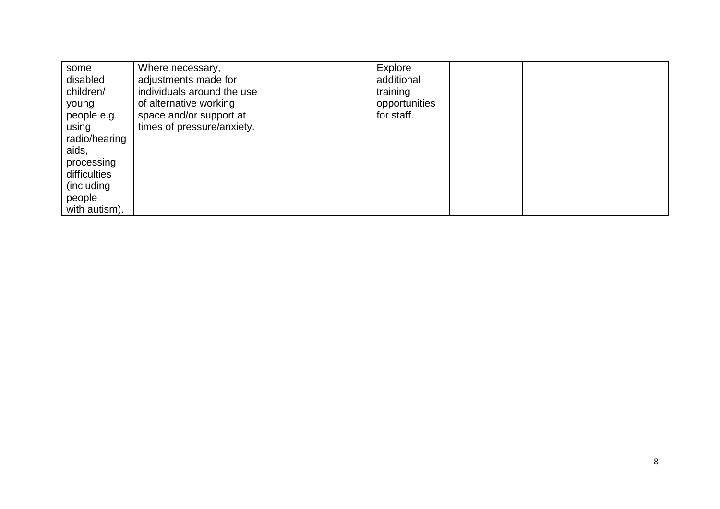| some<br>disabled | Where necessary,<br>adjustments made for | Explore<br>additional |  |  |
|------------------|------------------------------------------|-----------------------|--|--|
| children/        | individuals around the use               | training              |  |  |
| young            | of alternative working                   | opportunities         |  |  |
|                  | space and/or support at                  | for staff.            |  |  |
| people e.g.      |                                          |                       |  |  |
| using            | times of pressure/anxiety.               |                       |  |  |
| radio/hearing    |                                          |                       |  |  |
| aids,            |                                          |                       |  |  |
| processing       |                                          |                       |  |  |
| difficulties     |                                          |                       |  |  |
| (including       |                                          |                       |  |  |
| people           |                                          |                       |  |  |
| with autism).    |                                          |                       |  |  |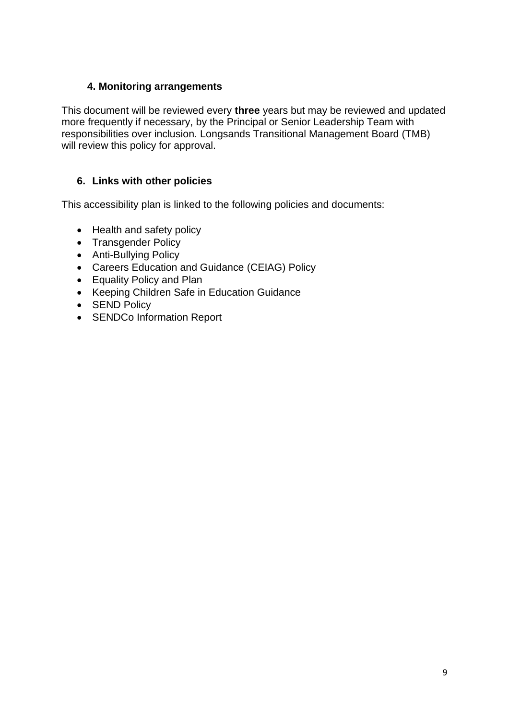#### **4. Monitoring arrangements**

This document will be reviewed every **three** years but may be reviewed and updated more frequently if necessary, by the Principal or Senior Leadership Team with responsibilities over inclusion. Longsands Transitional Management Board (TMB) will review this policy for approval.

#### **6. Links with other policies**

This accessibility plan is linked to the following policies and documents:

- Health and safety policy
- Transgender Policy
- Anti-Bullying Policy
- Careers Education and Guidance (CEIAG) Policy
- Equality Policy and Plan
- Keeping Children Safe in Education Guidance
- SEND Policy
- SENDCo Information Report